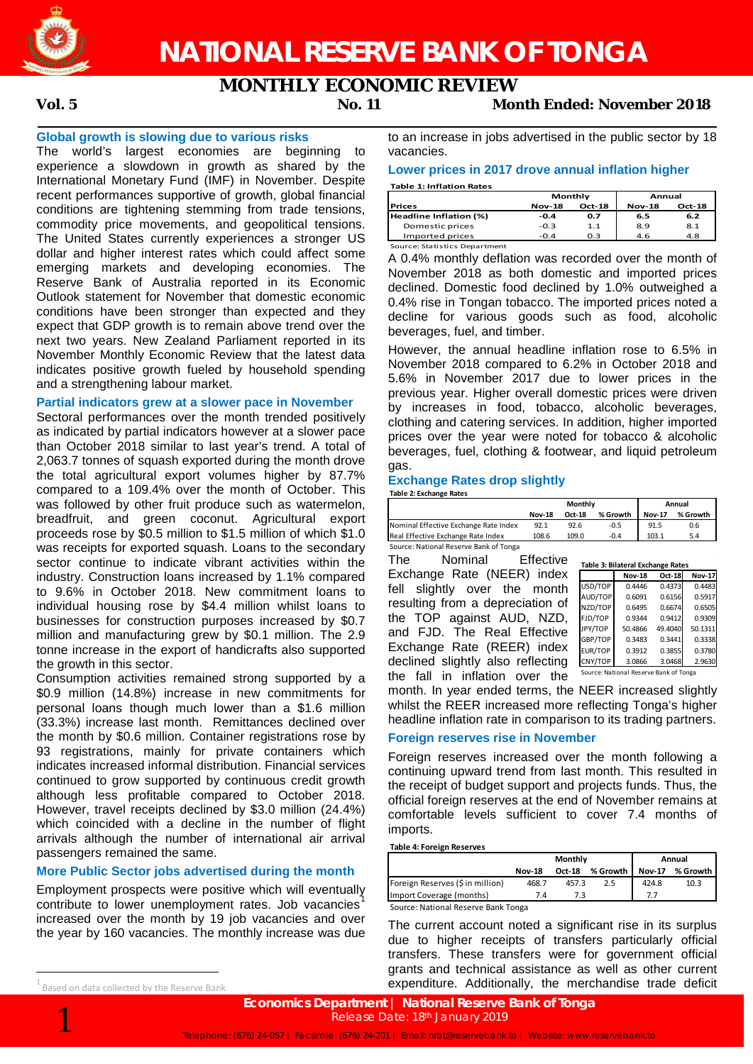

# **NATIONAL RESERVE BANK OF TONGA**

## **MONTHLY ECONOMIC REVIEW**

#### **Global growth is slowing due to various risks**

The world's largest economies are beginning to experience a slowdown in growth as shared by the International Monetary Fund (IMF) in November. Despite recent performances supportive of growth, global financial conditions are tightening stemming from trade tensions, commodity price movements, and geopolitical tensions. The United States currently experiences a stronger US dollar and higher interest rates which could affect some emerging markets and developing economies. The Reserve Bank of Australia reported in its Economic Outlook statement for November that domestic economic conditions have been stronger than expected and they expect that GDP growth is to remain above trend over the next two years. New Zealand Parliament reported in its November Monthly Economic Review that the latest data indicates positive growth fueled by household spending and a strengthening labour market.

#### **Partial indicators grew at a slower pace in November**

Sectoral performances over the month trended positively as indicated by partial indicators however at a slower pace than October 2018 similar to last year's trend. A total of 2,063.7 tonnes of squash exported during the month drove the total agricultural export volumes higher by 87.7% compared to a 109.4% over the month of October. This was followed by other fruit produce such as watermelon, breadfruit, and green coconut. Agricultural export proceeds rose by \$0.5 million to \$1.5 million of which \$1.0 was receipts for exported squash. Loans to the secondary sector continue to indicate vibrant activities within the industry. Construction loans increased by 1.1% compared to 9.6% in October 2018. New commitment loans to individual housing rose by \$4.4 million whilst loans to businesses for construction purposes increased by \$0.7 million and manufacturing grew by \$0.1 million. The 2.9 tonne increase in the export of handicrafts also supported the growth in this sector.

Consumption activities remained strong supported by a \$0.9 million (14.8%) increase in new commitments for personal loans though much lower than a \$1.6 million (33.3%) increase last month. Remittances declined over the month by \$0.6 million. Container registrations rose by 93 registrations, mainly for private containers which indicates increased informal distribution. Financial services continued to grow supported by continuous credit growth although less profitable compared to October 2018. However, travel receipts declined by \$3.0 million (24.4%) which coincided with a decline in the number of flight arrivals although the number of international air arrival passengers remained the same.

#### **More Public Sector jobs advertised during the month**

Employment prospects were positive which will eventually contribute to lower unemployment rates. Job vacancies<sup>1</sup> increased over the month by 19 job vacancies and over the year by 160 vacancies. The monthly increase was due

to an increase in jobs advertised in the public sector by 18 vacancies.

#### **Lower prices in 2017 drove annual inflation higher**

**Table 1: Inflation Rates**

|                        | Monthly       |               | Annual        |        |  |
|------------------------|---------------|---------------|---------------|--------|--|
| <b>Prices</b>          | <b>Nov-18</b> | <b>Oct-18</b> | <b>Nov-18</b> | Oct-18 |  |
| Headline Inflation (%) | $-0.4$        | 0.7           | 6.5           | 6.2    |  |
| Domestic prices        | $-0.3$        | 1.1           | 8.9           | 8.1    |  |
| Imported prices        | $-0.4$        | 0.3           | 4.6           | 4.8    |  |

Source: Statistics Department

A 0.4% monthly deflation was recorded over the month of November 2018 as both domestic and imported prices declined. Domestic food declined by 1.0% outweighed a 0.4% rise in Tongan tobacco. The imported prices noted a decline for various goods such as food, alcoholic beverages, fuel, and timber.

However, the annual headline inflation rose to 6.5% in November 2018 compared to 6.2% in October 2018 and 5.6% in November 2017 due to lower prices in the previous year. Higher overall domestic prices were driven by increases in food, tobacco, alcoholic beverages, clothing and catering services. In addition, higher imported prices over the year were noted for tobacco & alcoholic beverages, fuel, clothing & footwear, and liquid petroleum gas.

#### **Exchange Rates drop slightly**

**Table 2: Exchange Rates**

|                                        | Monthly       |               |          | Annual        |          |
|----------------------------------------|---------------|---------------|----------|---------------|----------|
|                                        | <b>Nov-18</b> | <b>Oct-18</b> | % Growth | <b>Nov-17</b> | % Growth |
| Nominal Effective Exchange Rate Index  | 92.1          | 92.6          | $-0.5$   | 91.5          | 0.6      |
| Real Effective Exchange Rate Index     | 108.6         | 109.0         | $-0.4$   | 103.1         | 5.4      |
| Source: National Reserve Bank of Tonga |               |               |          |               |          |

The Nominal Effective Exchange Rate (NEER) index fell slightly over the month resulting from a depreciation of the TOP against AUD, NZD, and FJD. The Real Effective Exchange Rate (REER) index declined slightly also reflecting the fall in inflation over the

| Table 3: Bilateral Exchange Rates |                                        |         |               |  |  |  |  |  |
|-----------------------------------|----------------------------------------|---------|---------------|--|--|--|--|--|
|                                   | <b>Nov-18</b>                          | Oct-18  | <b>Nov-17</b> |  |  |  |  |  |
| USD/TOP                           | 0.4446                                 | 0.4373  | 0.4483        |  |  |  |  |  |
| AUD/TOP                           | 0.6091                                 | 0.6156  | 0.5917        |  |  |  |  |  |
| NZD/TOP                           | 0.6495                                 | 0.6674  | 0.6505        |  |  |  |  |  |
| FJD/TOP                           | 0.9344                                 | 0.9412  | 0.9309        |  |  |  |  |  |
| JPY/TOP                           | 50.4866                                | 49.4040 | 50.1311       |  |  |  |  |  |
| GBP/TOP                           | 0.3483                                 | 0.3441  | 0.3338        |  |  |  |  |  |
| <b>EUR/TOP</b>                    | 0.3912                                 | 0.3855  | 0.3780        |  |  |  |  |  |
| CNY/TOP                           | 3.0866                                 | 3.0468  | 2.9630        |  |  |  |  |  |
|                                   | Source: National Reserve Bank of Tonga |         |               |  |  |  |  |  |

month. In year ended terms, the NEER increased slightly whilst the REER increased more reflecting Tonga's higher headline inflation rate in comparison to its trading partners.

#### **Foreign reserves rise in November**

Foreign reserves increased over the month following a continuing upward trend from last month. This resulted in the receipt of budget support and projects funds. Thus, the official foreign reserves at the end of November remains at comfortable levels sufficient to cover 7.4 months of imports.

**Table 4: Foreign Reserves**

|                                     |               | Monthly | Annual   |               |            |  |
|-------------------------------------|---------------|---------|----------|---------------|------------|--|
|                                     | <b>Nov-18</b> | Oct-18  | % Growth | <b>Nov-17</b> | % Growth I |  |
| Foreign Reserves (\$ in million)    | 468.7         | 457.3   | 2.5      | 424.8         | 10.3       |  |
| Import Coverage (months)            | 7.4           |         |          |               |            |  |
| Source: National Reserve Bank Tonga |               |         |          |               |            |  |

The current account noted a significant rise in its surplus due to higher receipts of transfers particularly official transfers. These transfers were for government official grants and technical assistance as well as other current expenditure. Additionally, the merchandise trade deficit

**Economics Department** | **National Reserve Bank of Tonga**<br>Release Date: 18<sup>th</sup> January 2019<br>Telephone: (676) 24-057 | Facsimile: (676) 24-201 | Email: nrbt@reservebank.to | Website: www.reservebank.to Release Date: 18th January 2019

 <sup>1</sup>  $1$  Based on data collected by the Reserve Bank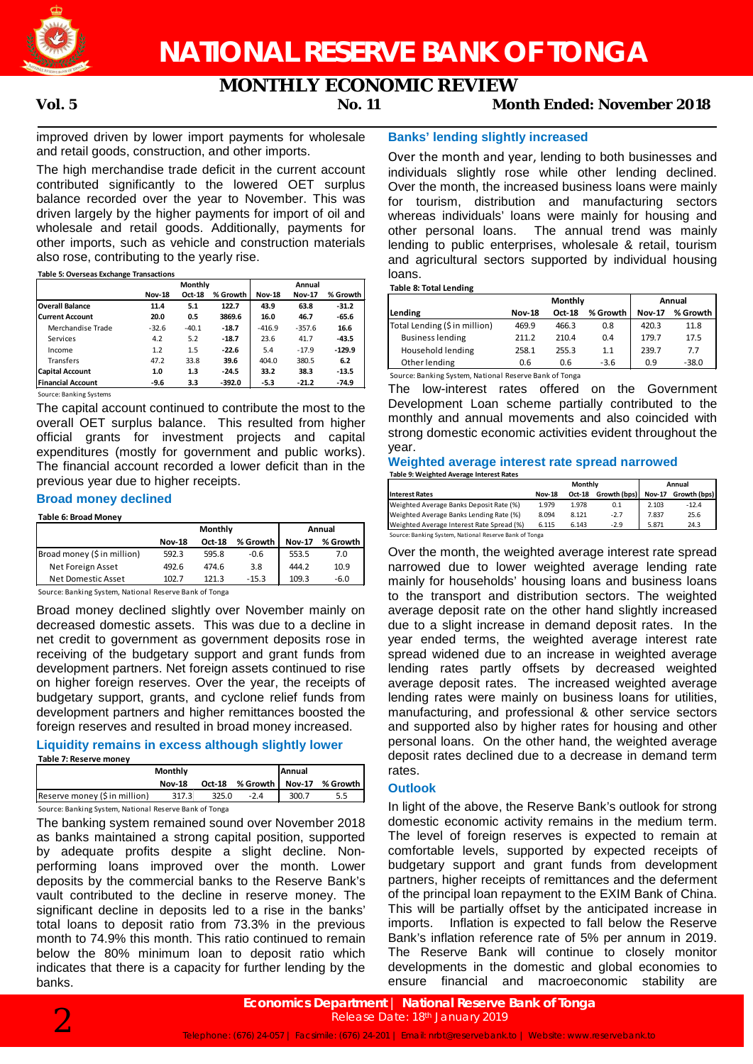

## **MONTHLY ECONOMIC REVIEW**

### **Vol. 5 No. 11 Month Ended: November 2018**

improved driven by lower import payments for wholesale and retail goods, construction, and other imports.

The high merchandise trade deficit in the current account contributed significantly to the lowered OET surplus balance recorded over the year to November. This was driven largely by the higher payments for import of oil and wholesale and retail goods. Additionally, payments for other imports, such as vehicle and construction materials also rose, contributing to the yearly rise.

#### **Table 5: Overseas Exchange Transactions**

|                          |               | <b>Monthly</b> |          |               | Annual        |          |  |
|--------------------------|---------------|----------------|----------|---------------|---------------|----------|--|
|                          | <b>Nov-18</b> | Oct-18         | % Growth | <b>Nov-18</b> | <b>Nov-17</b> | % Growth |  |
| <b>Overall Balance</b>   | 11.4          | 5.1            | 122.7    | 43.9          | 63.8          | $-31.2$  |  |
| <b>Current Account</b>   | 20.0          | 0.5            | 3869.6   | 16.0          | 46.7          | $-65.6$  |  |
| Merchandise Trade        | $-32.6$       | $-40.1$        | $-18.7$  | $-416.9$      | $-357.6$      | 16.6     |  |
| Services                 | 4.2           | 5.2            | $-18.7$  | 23.6          | 41.7          | $-43.5$  |  |
| Income                   | 1.2           | 1.5            | $-22.6$  | 5.4           | $-17.9$       | $-129.9$ |  |
| Transfers                | 47.2          | 33.8           | 39.6     | 404.0         | 380.5         | 6.2      |  |
| <b>Capital Account</b>   | 1.0           | 1.3            | $-24.5$  | 33.2          | 38.3          | $-13.5$  |  |
| <b>Financial Account</b> | $-9.6$        | 3.3            | $-392.0$ | $-5.3$        | $-21.2$       | $-74.9$  |  |

Source: Banking Systems

The capital account continued to contribute the most to the overall OET surplus balance. This resulted from higher official grants for investment projects and capital expenditures (mostly for government and public works). The financial account recorded a lower deficit than in the previous year due to higher receipts.

#### **Broad money declined**

#### **Table 6: Broad Money**

|                             |               | Monthly | Annual   |               |          |
|-----------------------------|---------------|---------|----------|---------------|----------|
|                             | <b>Nov-18</b> | Oct-18  | % Growth | <b>Nov-17</b> | % Growth |
| Broad money (\$ in million) | 592.3         | 595.8   | -0.6     | 553.5         | 7.0      |
| Net Foreign Asset           | 492.6         | 474.6   | 3.8      | 444.2         | 10.9     |
| Net Domestic Asset          | 102.7         | 121.3   | $-15.3$  | 109.3         | $-6.0$   |

Source: Banking System, National Reserve Bank of Tonga

Broad money declined slightly over November mainly on decreased domestic assets. This was due to a decline in net credit to government as government deposits rose in receiving of the budgetary support and grant funds from development partners. Net foreign assets continued to rise on higher foreign reserves. Over the year, the receipts of budgetary support, grants, and cyclone relief funds from development partners and higher remittances boosted the foreign reserves and resulted in broad money increased.

#### **Liquidity remains in excess although slightly lower Table 7: Reserve money**

|                                                        | Monthly       |       |                          | <b>Annual</b> |          |  |  |  |
|--------------------------------------------------------|---------------|-------|--------------------------|---------------|----------|--|--|--|
|                                                        | <b>Nov-18</b> |       | Oct-18 % Growth   Nov-17 |               | % Growth |  |  |  |
| Reserve money (\$ in million)                          | 317.3         | 325.0 | $-2.4$                   | 300.7         |          |  |  |  |
| Source: Banking System, National Reserve Bank of Tonga |               |       |                          |               |          |  |  |  |

The banking system remained sound over November 2018 as banks maintained a strong capital position, supported by adequate profits despite a slight decline. Nonperforming loans improved over the month. Lower deposits by the commercial banks to the Reserve Bank's vault contributed to the decline in reserve money. The significant decline in deposits led to a rise in the banks' total loans to deposit ratio from 73.3% in the previous month to 74.9% this month. This ratio continued to remain below the 80% minimum loan to deposit ratio which indicates that there is a capacity for further lending by the banks.

#### **Banks' lending slightly increased**

Over the month and year, lending to both businesses and individuals slightly rose while other lending declined. Over the month, the increased business loans were mainly for tourism, distribution and manufacturing sectors whereas individuals' loans were mainly for housing and other personal loans. The annual trend was mainly lending to public enterprises, wholesale & retail, tourism and agricultural sectors supported by individual housing loans.

#### **Table 8: Total Lending**

|                               |               | Monthly | Annual   |               |          |
|-------------------------------|---------------|---------|----------|---------------|----------|
| Lending                       | <b>Nov-18</b> | Oct-18  | % Growth | <b>Nov-17</b> | % Growth |
| Total Lending (\$ in million) | 469.9         | 466.3   | 0.8      | 420.3         | 11.8     |
| <b>Business lending</b>       | 211.2         | 210.4   | 0.4      | 179.7         | 17.5     |
| Household lending             | 258.1         | 255.3   | 1.1      | 239.7         | 7.7      |
| Other lending                 | 0.6           | 0.6     | $-3.6$   | 0.9           | $-38.0$  |

Source: Banking System, National Reserve Bank of Tonga

The low-interest rates offered on the Government Development Loan scheme partially contributed to the monthly and annual movements and also coincided with strong domestic economic activities evident throughout the year.

#### **Weighted average interest rate spread narrowed Table 9: Weighted Average Interest Rates**

|                                                        | Monthly       |               |              | Annual        |              |  |  |
|--------------------------------------------------------|---------------|---------------|--------------|---------------|--------------|--|--|
| <b>Interest Rates</b>                                  | <b>Nov-18</b> | <b>Oct-18</b> | Growth (bps) | <b>Nov-17</b> | Growth (bps) |  |  |
| Weighted Average Banks Deposit Rate (%)                | 1.979         | 1.978         | 0.1          | 2.103         | $-12.4$      |  |  |
| Weighted Average Banks Lending Rate (%)                | 8.094         | 8.121         | $-2.7$       | 7.837         | 25.6         |  |  |
| Weighted Average Interest Rate Spread (%)              | 6.115         | 6.143         | $-2.9$       | 5.871         | 24.3         |  |  |
| Source: Banking System, National Reserve Bank of Tonga |               |               |              |               |              |  |  |

Over the month, the weighted average interest rate spread narrowed due to lower weighted average lending rate mainly for households' housing loans and business loans to the transport and distribution sectors. The weighted average deposit rate on the other hand slightly increased due to a slight increase in demand deposit rates. In the year ended terms, the weighted average interest rate spread widened due to an increase in weighted average lending rates partly offsets by decreased weighted average deposit rates. The increased weighted average lending rates were mainly on business loans for utilities, manufacturing, and professional & other service sectors and supported also by higher rates for housing and other personal loans. On the other hand, the weighted average deposit rates declined due to a decrease in demand term rates.

#### **Outlook**

In light of the above, the Reserve Bank's outlook for strong domestic economic activity remains in the medium term. The level of foreign reserves is expected to remain at comfortable levels, supported by expected receipts of budgetary support and grant funds from development partners, higher receipts of remittances and the deferment of the principal loan repayment to the EXIM Bank of China. This will be partially offset by the anticipated increase in imports. Inflation is expected to fall below the Reserve Bank's inflation reference rate of 5% per annum in 2019. The Reserve Bank will continue to closely monitor developments in the domestic and global economies to ensure financial and macroeconomic stability are